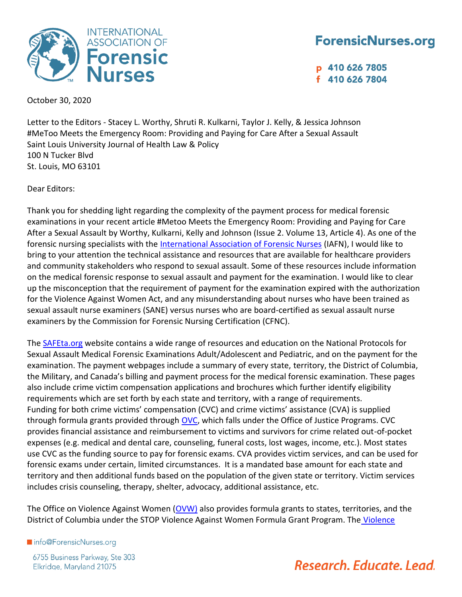

#### **ForensicNurses.org**

p 410 626 7805 f 410 626 7804

October 30, 2020

Letter to the Editors - Stacey L. Worthy, Shruti R. Kulkarni, Taylor J. Kelly, & Jessica Johnson #MeToo Meets the Emergency Room: Providing and Paying for Care After a Sexual Assault Saint Louis University Journal of Health Law & Policy 100 N Tucker Blvd St. Louis, MO 63101

Dear Editors:

Thank you for shedding light regarding the complexity of the payment process for medical forensic examinations in your recent article #Metoo Meets the Emergency Room: Providing and Paying for Care After a Sexual Assault by Worthy, Kulkarni, Kelly and Johnson (Issue 2. Volume 13, Article 4). As one of the forensic nursing specialists with the [International Association of Forensic Nurses](https://www.forensicnurses.org/default.aspx) (IAFN), I would like to bring to your attention the technical assistance and resources that are available for healthcare providers and community stakeholders who respond to sexual assault. Some of these resources include information on the medical forensic response to sexual assault and payment for the examination. I would like to clear up the misconception that the requirement of payment for the examination expired with the authorization for the Violence Against Women Act, and any misunderstanding about nurses who have been trained as sexual assault nurse examiners (SANE) versus nurses who are board-certified as sexual assault nurse examiners by the Commission for Forensic Nursing Certification (CFNC).

The [SAFEta.org](http://www.safeta.org/) website contains a wide range of resources and education on the National Protocols for Sexual Assault Medical Forensic Examinations Adult/Adolescent and Pediatric, and on the payment for the examination. The payment webpages include a summary of every state, territory, the District of Columbia, the Military, and Canada's billing and payment process for the medical forensic examination. These pages also include crime victim compensation applications and brochures which further identify eligibility requirements which are set forth by each state and territory, with a range of requirements. Funding for both crime victims' compensation (CVC) and crime victims' assistance (CVA) is supplied through formula grants provided through [OVC,](https://ovc.ojp.gov/funding/types-of-funding/formula-grants) which falls under the Office of Justice Programs. CVC provides financial assistance and reimbursement to victims and survivors for crime related out-of-pocket expenses (e.g. medical and dental care, counseling, funeral costs, lost wages, income, etc.). Most states use CVC as the funding source to pay for forensic exams. CVA provides victim services, and can be used for forensic exams under certain, limited circumstances. It is a mandated base amount for each state and territory and then additional funds based on the population of the given state or territory. Victim services includes crisis counseling, therapy, shelter, advocacy, additional assistance, etc.

The Office on Violence Against Women [\(OVW\)](https://www.justice.gov/ovw/grant-programs) also provides formula grants to states, territories, and the District of Columbia under the STOP [Violence](https://www.congress.gov/bill/103rd-congress/senate-bill/11) Against Women Formula Grant Program. The Violence

Info@ForensicNurses.org

6755 Business Parkway, Ste 303 Elkridge, Maryland 21075

## Research, Educate, Lead.